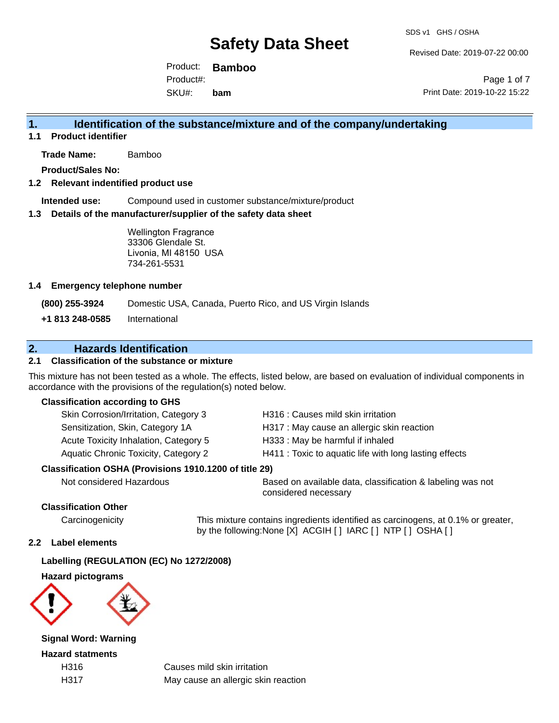Revised Date: 2019-07-22 00:00

Product: **Bamboo** SKU#: Product#: **bam**

Page 1 of 7 Print Date: 2019-10-22 15:22

## **1. Identification of the substance/mixture and of the company/undertaking**

**1.1 Product identifier**

**Trade Name:** Bamboo

**Product/Sales No:**

#### **1.2 Relevant indentified product use**

**Intended use:** Compound used in customer substance/mixture/product

#### **1.3 Details of the manufacturer/supplier of the safety data sheet**

Wellington Fragrance 33306 Glendale St. Livonia, MI 48150 USA 734-261-5531

#### **1.4 Emergency telephone number**

**(800) 255-3924** Domestic USA, Canada, Puerto Rico, and US Virgin Islands

**+1 813 248-0585** International

## **2. Hazards Identification**

#### **2.1 Classification of the substance or mixture**

This mixture has not been tested as a whole. The effects, listed below, are based on evaluation of individual components in accordance with the provisions of the regulation(s) noted below.

#### **Classification according to GHS**

| Skin Corrosion/Irritation, Category 3 | H316 : Causes mild skin irritation                     |
|---------------------------------------|--------------------------------------------------------|
| Sensitization, Skin, Category 1A      | H317 : May cause an allergic skin reaction             |
| Acute Toxicity Inhalation, Category 5 | H333: May be harmful if inhaled                        |
| Aquatic Chronic Toxicity, Category 2  | H411 : Toxic to aquatic life with long lasting effects |
|                                       |                                                        |

#### **Classification OSHA (Provisions 1910.1200 of title 29)**

Not considered Hazardous **Based on available data, classification & labeling was not** considered necessary

### **Classification Other**

Carcinogenicity This mixture contains ingredients identified as carcinogens, at 0.1% or greater, by the following:None [X] ACGIH [ ] IARC [ ] NTP [ ] OSHA [ ]

#### **2.2 Label elements**

#### **Labelling (REGULATION (EC) No 1272/2008)**

**Hazard pictograms**



**Signal Word: Warning**

**Hazard statments**

H316 Causes mild skin irritation H317 May cause an allergic skin reaction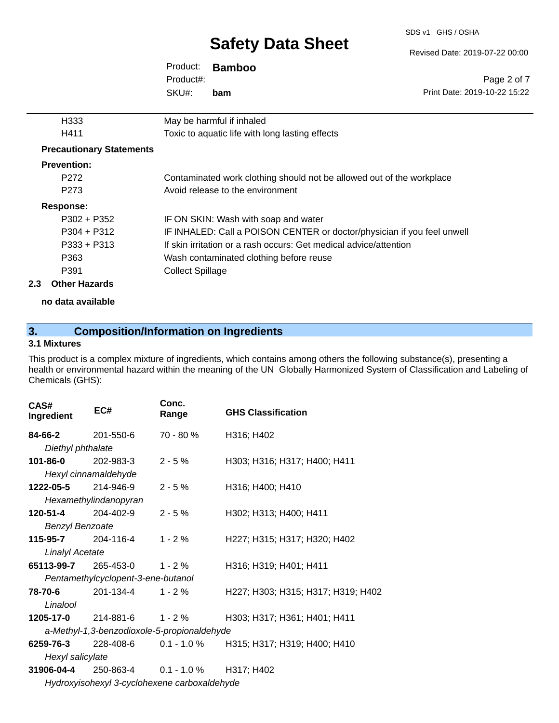SDS v1 GHS / OSHA

 $0:00$ 

|                                 |                         | $\cdots$ - $\mathbf{y}$                                                 | Revised Date: 2019-07-22 00:00 |
|---------------------------------|-------------------------|-------------------------------------------------------------------------|--------------------------------|
|                                 | Product:                | <b>Bamboo</b>                                                           |                                |
|                                 | Product#:               |                                                                         | Page 2 of 7                    |
|                                 | SKU#:                   | bam                                                                     | Print Date: 2019-10-22 15:22   |
| H333                            |                         | May be harmful if inhaled                                               |                                |
| H411                            |                         | Toxic to aquatic life with long lasting effects                         |                                |
| <b>Precautionary Statements</b> |                         |                                                                         |                                |
| <b>Prevention:</b>              |                         |                                                                         |                                |
| P272                            |                         | Contaminated work clothing should not be allowed out of the workplace   |                                |
| P <sub>273</sub>                |                         | Avoid release to the environment                                        |                                |
| <b>Response:</b>                |                         |                                                                         |                                |
| $P302 + P352$                   |                         | IF ON SKIN: Wash with soap and water                                    |                                |
| $P304 + P312$                   |                         | IF INHALED: Call a POISON CENTER or doctor/physician if you feel unwell |                                |
| P333 + P313                     |                         | If skin irritation or a rash occurs: Get medical advice/attention       |                                |
| P363                            |                         | Wash contaminated clothing before reuse                                 |                                |
| P391                            | <b>Collect Spillage</b> |                                                                         |                                |
| <b>Other Hazards</b><br>2.3     |                         |                                                                         |                                |

## **no data available**

## **3. Composition/Information on Ingredients**

### **3.1 Mixtures**

This product is a complex mixture of ingredients, which contains among others the following substance(s), presenting a health or environmental hazard within the meaning of the UN Globally Harmonized System of Classification and Labeling of Chemicals (GHS):

| CAS#<br>Ingredient                           | EC#                                         | Conc.<br>Range | <b>GHS Classification</b>          |
|----------------------------------------------|---------------------------------------------|----------------|------------------------------------|
| <b>84-66-2</b> 201-550-6                     |                                             | 70 - 80 %      | H316; H402                         |
| Diethyl phthalate                            |                                             |                |                                    |
| 101-86-0                                     | 202-983-3                                   | $2 - 5 \%$     | H303; H316; H317; H400; H411       |
|                                              | Hexyl cinnamaldehyde                        |                |                                    |
| 1222-05-5                                    | 214-946-9                                   | $2 - 5%$       | H316; H400; H410                   |
|                                              | Hexamethylindanopyran                       |                |                                    |
| 120-51-4 204-402-9                           |                                             | $2 - 5%$       | H302; H313; H400; H411             |
| <b>Benzyl Benzoate</b>                       |                                             |                |                                    |
| 115-95-7                                     | 204-116-4                                   | $1 - 2 \%$     | H227; H315; H317; H320; H402       |
| <b>Linalyl Acetate</b>                       |                                             |                |                                    |
|                                              | <b>65113-99-7</b> 265-453-0                 | 1 - 2 %        | H316; H319; H401; H411             |
|                                              | Pentamethylcyclopent-3-ene-butanol          |                |                                    |
| 78-70-6                                      | 201-134-4                                   | $1 - 2%$       | H227; H303; H315; H317; H319; H402 |
| Linalool                                     |                                             |                |                                    |
|                                              |                                             |                | H303; H317; H361; H401; H411       |
|                                              | a-Methyl-1,3-benzodioxole-5-propionaldehyde |                |                                    |
| 6259-76-3                                    | 228-408-6                                   | $0.1 - 1.0 \%$ | H315; H317; H319; H400; H410       |
| Hexyl salicylate                             |                                             |                |                                    |
| 31906-04-4                                   | 250-863-4 0.1 - 1.0 %                       |                | H317; H402                         |
| Hydroxyisohexyl 3-cyclohexene carboxaldehyde |                                             |                |                                    |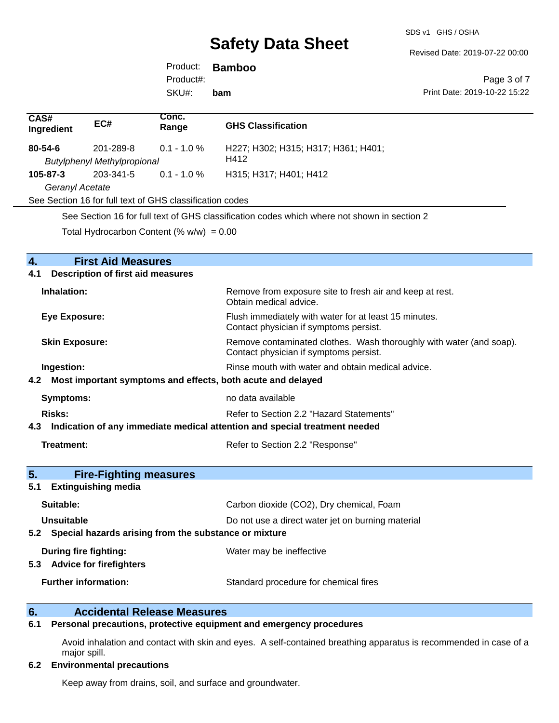SDS v1 GHS / OSHA

Revised Date: 2019-07-22 00:00

Product: **Bamboo** Product#:

SKU#: **bam**

| Page 3 of 7                  |
|------------------------------|
| Print Date: 2019-10-22 15:22 |

| CAS#<br>Ingredient                                                                          | EC#                                             | Conc.<br>Range | <b>GHS Classification</b>                   |
|---------------------------------------------------------------------------------------------|-------------------------------------------------|----------------|---------------------------------------------|
| $80 - 54 - 6$                                                                               | 201-289-8<br><b>Butylphenyl Methylpropional</b> | $0.1 - 1.0 \%$ | H227; H302; H315; H317; H361; H401;<br>H412 |
| 105-87-3                                                                                    | 203-341-5                                       | $0.1 - 1.0 \%$ | H315; H317; H401; H412                      |
| Geranyl Acetate                                                                             |                                                 |                |                                             |
| See Section 16 for full text of GHS classification codes                                    |                                                 |                |                                             |
| See Section 16 for full text of GHS classification codes which where not shown in section 2 |                                                 |                |                                             |

Total Hydrocarbon Content  $(\% w/w) = 0.00$ 

| 4.<br><b>First Aid Measures</b>                                                   |                                                                                                               |
|-----------------------------------------------------------------------------------|---------------------------------------------------------------------------------------------------------------|
| <b>Description of first aid measures</b><br>4.1                                   |                                                                                                               |
| Inhalation:                                                                       | Remove from exposure site to fresh air and keep at rest.<br>Obtain medical advice.                            |
| <b>Eye Exposure:</b>                                                              | Flush immediately with water for at least 15 minutes.<br>Contact physician if symptoms persist.               |
| <b>Skin Exposure:</b>                                                             | Remove contaminated clothes. Wash thoroughly with water (and soap).<br>Contact physician if symptoms persist. |
| Ingestion:                                                                        | Rinse mouth with water and obtain medical advice.                                                             |
| 4.2 Most important symptoms and effects, both acute and delayed                   |                                                                                                               |
| <b>Symptoms:</b>                                                                  | no data available                                                                                             |
| Risks:                                                                            | Refer to Section 2.2 "Hazard Statements"                                                                      |
| Indication of any immediate medical attention and special treatment needed<br>4.3 |                                                                                                               |
| Treatment:                                                                        | Refer to Section 2.2 "Response"                                                                               |
| 5.<br><b>Fire-Fighting measures</b>                                               |                                                                                                               |
| <b>Extinguishing media</b><br>5.1                                                 |                                                                                                               |
| Suitable:                                                                         | Carbon dioxide (CO2), Dry chemical, Foam                                                                      |
| Unsuitable                                                                        | Do not use a direct water jet on burning material                                                             |
| 5.2 Special hazards arising from the substance or mixture                         |                                                                                                               |
| During fire fighting:<br>5.3 Advice for firefighters                              | Water may be ineffective                                                                                      |
| <b>Further information:</b>                                                       | Standard procedure for chemical fires                                                                         |

# **6. Calcidental Release Measures**<br>**6.1** Personal precautions, protective equipm

#### **6.1 Personal precautions, protective equipment and emergency procedures**

Avoid inhalation and contact with skin and eyes. A self-contained breathing apparatus is recommended in case of a major spill.

#### **6.2 Environmental precautions**

Keep away from drains, soil, and surface and groundwater.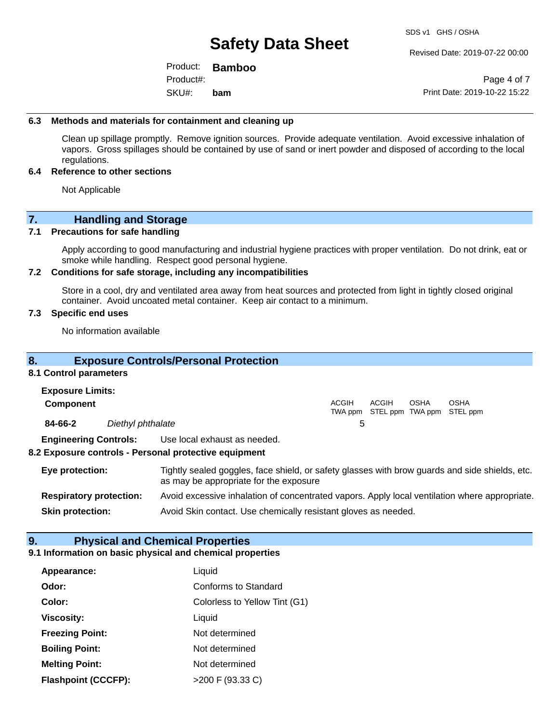Revised Date: 2019-07-22 00:00

Product: **Bamboo** SKU#: Product#: **bam**

Page 4 of 7 Print Date: 2019-10-22 15:22

#### **6.3 Methods and materials for containment and cleaning up**

Clean up spillage promptly. Remove ignition sources. Provide adequate ventilation. Avoid excessive inhalation of vapors. Gross spillages should be contained by use of sand or inert powder and disposed of according to the local regulations.

#### **6.4 Reference to other sections**

Not Applicable

### **7. Handling and Storage**

#### **7.1 Precautions for safe handling**

Apply according to good manufacturing and industrial hygiene practices with proper ventilation. Do not drink, eat or smoke while handling. Respect good personal hygiene.

#### **7.2 Conditions for safe storage, including any incompatibilities**

Store in a cool, dry and ventilated area away from heat sources and protected from light in tightly closed original container. Avoid uncoated metal container. Keep air contact to a minimum.

#### **7.3 Specific end uses**

No information available

### **8. Exposure Controls/Personal Protection**

#### **8.1 Control parameters**

| <b>Exposure Limits:</b> |                              |                                                       |              |       |      |                                                  |  |
|-------------------------|------------------------------|-------------------------------------------------------|--------------|-------|------|--------------------------------------------------|--|
| Component               |                              |                                                       | <b>ACGIH</b> | ACGIH | OSHA | <b>OSHA</b><br>TWA ppm STEL ppm TWA ppm STEL ppm |  |
| 84-66-2                 | Diethyl phthalate            |                                                       | 5            |       |      |                                                  |  |
|                         | <b>Engineering Controls:</b> | Use local exhaust as needed.                          |              |       |      |                                                  |  |
|                         |                              | 8.2 Exposure controls - Personal protective equipment |              |       |      |                                                  |  |

**Eye protection:** Tightly sealed goggles, face shield, or safety glasses with brow guards and side shields, etc. as may be appropriate for the exposure **Respiratory protection:** Avoid excessive inhalation of concentrated vapors. Apply local ventilation where appropriate.

**Skin protection:** Avoid Skin contact. Use chemically resistant gloves as needed.

### **9. Physical and Chemical Properties**

#### **9.1 Information on basic physical and chemical properties**

| Appearance:                | Liquid                        |
|----------------------------|-------------------------------|
| Odor:                      | Conforms to Standard          |
| Color:                     | Colorless to Yellow Tint (G1) |
| <b>Viscosity:</b>          | Liquid                        |
| <b>Freezing Point:</b>     | Not determined                |
| <b>Boiling Point:</b>      | Not determined                |
| <b>Melting Point:</b>      | Not determined                |
| <b>Flashpoint (CCCFP):</b> | >200 F (93.33 C)              |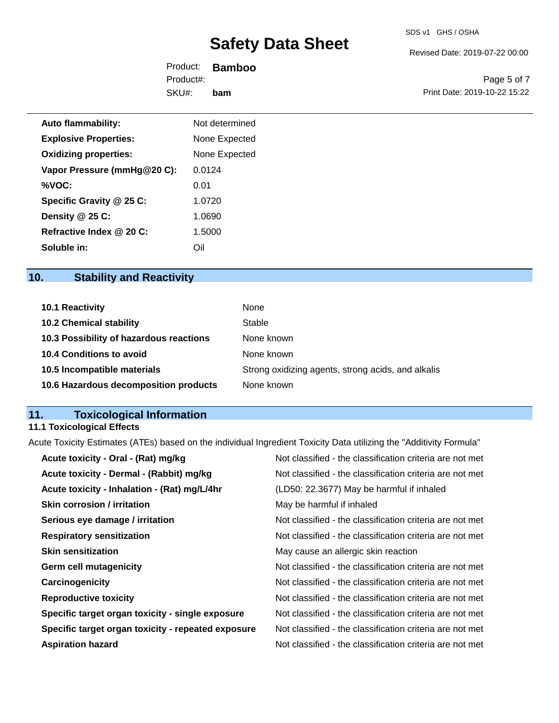Revised Date: 2019-07-22 00:00

Product: **Bamboo** SKU#: Product#: **bam**

Page 5 of 7 Print Date: 2019-10-22 15:22

| <b>Auto flammability:</b>    | Not determined |
|------------------------------|----------------|
| <b>Explosive Properties:</b> | None Expected  |
| <b>Oxidizing properties:</b> | None Expected  |
| Vapor Pressure (mmHg@20 C):  | 0.0124         |
| %VOC:                        | 0.01           |
| Specific Gravity @ 25 C:     | 1.0720         |
| Density @ 25 C:              | 1.0690         |
| Refractive Index @ 20 C:     | 1.5000         |
| Soluble in:                  | Oil            |

## **10. Stability and Reactivity**

| <b>10.1 Reactivity</b>                  | None                                               |
|-----------------------------------------|----------------------------------------------------|
| <b>10.2 Chemical stability</b>          | Stable                                             |
| 10.3 Possibility of hazardous reactions | None known                                         |
| <b>10.4 Conditions to avoid</b>         | None known                                         |
| 10.5 Incompatible materials             | Strong oxidizing agents, strong acids, and alkalis |
| 10.6 Hazardous decomposition products   | None known                                         |

## **11. Toxicological Information**

## **11.1 Toxicological Effects**

Acute Toxicity Estimates (ATEs) based on the individual Ingredient Toxicity Data utilizing the "Additivity Formula"

| Acute toxicity - Oral - (Rat) mg/kg                | Not classified - the classification criteria are not met |
|----------------------------------------------------|----------------------------------------------------------|
| Acute toxicity - Dermal - (Rabbit) mg/kg           | Not classified - the classification criteria are not met |
| Acute toxicity - Inhalation - (Rat) mg/L/4hr       | (LD50: 22.3677) May be harmful if inhaled                |
| <b>Skin corrosion / irritation</b>                 | May be harmful if inhaled                                |
| Serious eye damage / irritation                    | Not classified - the classification criteria are not met |
| <b>Respiratory sensitization</b>                   | Not classified - the classification criteria are not met |
| <b>Skin sensitization</b>                          | May cause an allergic skin reaction                      |
| <b>Germ cell mutagenicity</b>                      | Not classified - the classification criteria are not met |
| Carcinogenicity                                    | Not classified - the classification criteria are not met |
| <b>Reproductive toxicity</b>                       | Not classified - the classification criteria are not met |
| Specific target organ toxicity - single exposure   | Not classified - the classification criteria are not met |
| Specific target organ toxicity - repeated exposure | Not classified - the classification criteria are not met |
| <b>Aspiration hazard</b>                           | Not classified - the classification criteria are not met |
|                                                    |                                                          |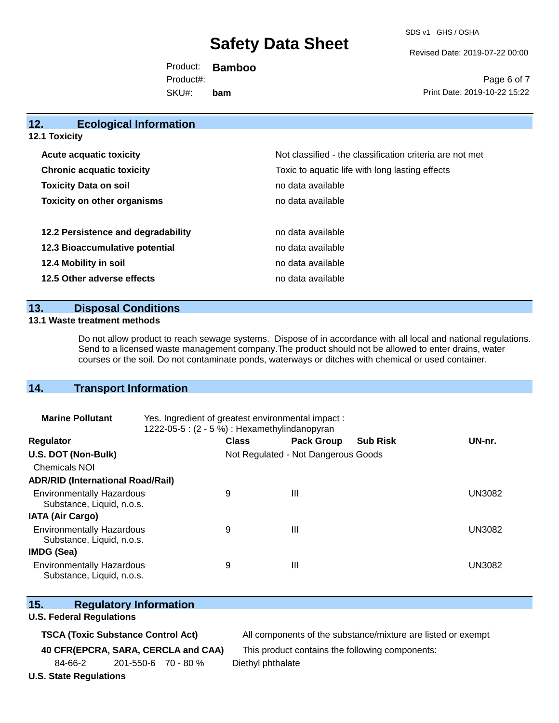SDS v1 GHS / OSHA

Revised Date: 2019-07-22 00:00

Product: **Bamboo** SKU#: Product#: **bam**

Page 6 of 7 Print Date: 2019-10-22 15:22

| 12.<br><b>Ecological Information</b> |                                                          |
|--------------------------------------|----------------------------------------------------------|
| <b>12.1 Toxicity</b>                 |                                                          |
| <b>Acute acquatic toxicity</b>       | Not classified - the classification criteria are not met |
| <b>Chronic acquatic toxicity</b>     | Toxic to aquatic life with long lasting effects          |
| <b>Toxicity Data on soil</b>         | no data available                                        |
| <b>Toxicity on other organisms</b>   | no data available                                        |
| 12.2 Persistence and degradability   | no data available                                        |
| 12.3 Bioaccumulative potential       | no data available                                        |
| 12.4 Mobility in soil                | no data available                                        |
| 12.5 Other adverse effects           | no data available                                        |
|                                      |                                                          |

### **13. Disposal Conditions**

#### **13.1 Waste treatment methods**

Do not allow product to reach sewage systems. Dispose of in accordance with all local and national regulations. Send to a licensed waste management company.The product should not be allowed to enter drains, water courses or the soil. Do not contaminate ponds, waterways or ditches with chemical or used container.

### **14. Transport Information**

| <b>Marine Pollutant</b>                                       | Yes. Ingredient of greatest environmental impact:<br>1222-05-5 : (2 - 5 %) : Hexamethylindanopyran |              |                                     |                 |               |
|---------------------------------------------------------------|----------------------------------------------------------------------------------------------------|--------------|-------------------------------------|-----------------|---------------|
| <b>Regulator</b>                                              |                                                                                                    | <b>Class</b> | <b>Pack Group</b>                   | <b>Sub Risk</b> | UN-nr.        |
| U.S. DOT (Non-Bulk)                                           |                                                                                                    |              | Not Regulated - Not Dangerous Goods |                 |               |
| <b>Chemicals NOI</b>                                          |                                                                                                    |              |                                     |                 |               |
| <b>ADR/RID (International Road/Rail)</b>                      |                                                                                                    |              |                                     |                 |               |
| <b>Environmentally Hazardous</b><br>Substance, Liquid, n.o.s. |                                                                                                    | 9            | Ш                                   |                 | <b>UN3082</b> |
| <b>IATA (Air Cargo)</b>                                       |                                                                                                    |              |                                     |                 |               |
| <b>Environmentally Hazardous</b><br>Substance, Liquid, n.o.s. |                                                                                                    | 9            | Ш                                   |                 | <b>UN3082</b> |
| IMDG (Sea)                                                    |                                                                                                    |              |                                     |                 |               |
| <b>Environmentally Hazardous</b><br>Substance, Liquid, n.o.s. |                                                                                                    | 9            | Ш                                   |                 | UN3082        |

|  | 15. | <b>Regulatory Information</b> |
|--|-----|-------------------------------|
|--|-----|-------------------------------|

#### **U.S. Federal Regulations**

**TSCA (Toxic Substance Control Act)** All components of the substance/mixture are listed or exempt

**40 CFR(EPCRA, SARA, CERCLA and CAA)** This product contains the following components:

84-66-2 201-550-6 70 - 80 % Diethyl phthalate

**U.S. State Regulations**